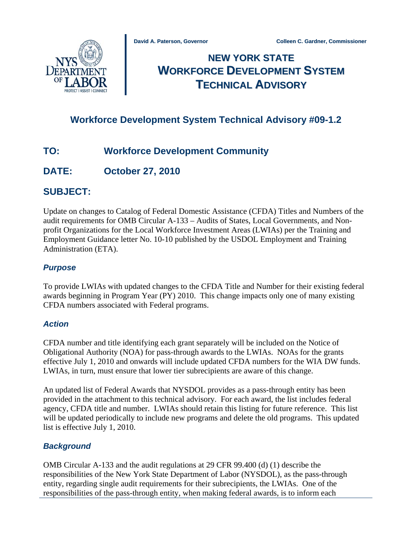

# **NEW YORK STATE WORKFORCE DEVELOPMENT SYSTEM TECHNICAL ADVISORY**

# **Workforce Development System Technical Advisory #09-1.2**

# **TO: Workforce Development Community**

# **DATE: October 27, 2010**

# **SUBJECT:**

Update on changes to Catalog of Federal Domestic Assistance (CFDA) Titles and Numbers of the audit requirements for OMB Circular A-133 – Audits of States, Local Governments, and Nonprofit Organizations for the Local Workforce Investment Areas (LWIAs) per the Training and Employment Guidance letter No. 10-10 published by the USDOL Employment and Training Administration (ETA).

### *Purpose*

To provide LWIAs with updated changes to the CFDA Title and Number for their existing federal awards beginning in Program Year (PY) 2010. This change impacts only one of many existing CFDA numbers associated with Federal programs.

### *Action*

CFDA number and title identifying each grant separately will be included on the Notice of Obligational Authority (NOA) for pass-through awards to the LWIAs. NOAs for the grants effective July 1, 2010 and onwards will include updated CFDA numbers for the WIA DW funds. LWIAs, in turn, must ensure that lower tier subrecipients are aware of this change.

An updated list of Federal Awards that NYSDOL provides as a pass-through entity has been provided in the attachment to this technical advisory. For each award, the list includes federal agency, CFDA title and number. LWIAs should retain this listing for future reference. This list will be updated periodically to include new programs and delete the old programs. This updated list is effective July 1, 2010.

### *Background*

OMB Circular A-133 and the audit regulations at 29 CFR 99.400 (d) (1) describe the responsibilities of the New York State Department of Labor (NYSDOL), as the pass-through entity, regarding single audit requirements for their subrecipients, the LWIAs. One of the responsibilities of the pass-through entity, when making federal awards, is to inform each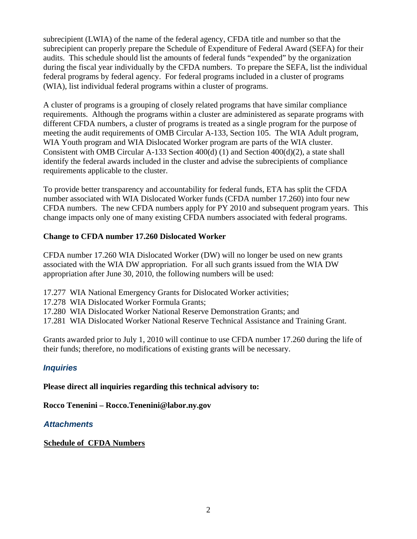subrecipient (LWIA) of the name of the federal agency, CFDA title and number so that the subrecipient can properly prepare the Schedule of Expenditure of Federal Award (SEFA) for their audits. This schedule should list the amounts of federal funds "expended" by the organization during the fiscal year individually by the CFDA numbers. To prepare the SEFA, list the individual federal programs by federal agency. For federal programs included in a cluster of programs (WIA), list individual federal programs within a cluster of programs.

A cluster of programs is a grouping of closely related programs that have similar compliance requirements. Although the programs within a cluster are administered as separate programs with different CFDA numbers, a cluster of programs is treated as a single program for the purpose of meeting the audit requirements of OMB Circular A-133, Section 105. The WIA Adult program, WIA Youth program and WIA Dislocated Worker program are parts of the WIA cluster. Consistent with OMB Circular A-133 Section 400(d) (1) and Section 400(d)(2), a state shall identify the federal awards included in the cluster and advise the subrecipients of compliance requirements applicable to the cluster.

To provide better transparency and accountability for federal funds, ETA has split the CFDA number associated with WIA Dislocated Worker funds (CFDA number 17.260) into four new CFDA numbers. The new CFDA numbers apply for PY 2010 and subsequent program years. This change impacts only one of many existing CFDA numbers associated with federal programs.

#### **Change to CFDA number 17.260 Dislocated Worker**

CFDA number 17.260 WIA Dislocated Worker (DW) will no longer be used on new grants associated with the WIA DW appropriation. For all such grants issued from the WIA DW appropriation after June 30, 2010, the following numbers will be used:

17.277 WIA National Emergency Grants for Dislocated Worker activities;

17.278 WIA Dislocated Worker Formula Grants;

17.280 WIA Dislocated Worker National Reserve Demonstration Grants; and

17.281 WIA Dislocated Worker National Reserve Technical Assistance and Training Grant.

Grants awarded prior to July 1, 2010 will continue to use CFDA number 17.260 during the life of their funds; therefore, no modifications of existing grants will be necessary.

### *Inquiries*

**Please direct all inquiries regarding this technical advisory to:** 

**Rocco Tenenini – Rocco.Tenenini@labor.ny.gov** 

### *Attachments*

### **[Schedule of CFDA Numbers](#page-2-0)**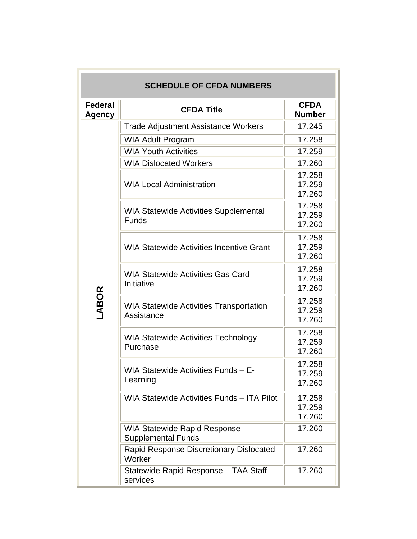<span id="page-2-0"></span>

| <b>SCHEDULE OF CFDA NUMBERS</b> |                                                              |                              |  |
|---------------------------------|--------------------------------------------------------------|------------------------------|--|
| <b>Federal</b><br>Agency        | <b>CFDA Title</b>                                            | <b>CFDA</b><br><b>Number</b> |  |
|                                 | <b>Trade Adjustment Assistance Workers</b>                   | 17.245                       |  |
|                                 | <b>WIA Adult Program</b>                                     | 17.258                       |  |
|                                 | <b>WIA Youth Activities</b>                                  | 17.259                       |  |
|                                 | <b>WIA Dislocated Workers</b>                                | 17.260                       |  |
|                                 | <b>WIA Local Administration</b>                              | 17.258<br>17.259<br>17.260   |  |
|                                 | <b>WIA Statewide Activities Supplemental</b><br>Funds        | 17.258<br>17.259<br>17.260   |  |
|                                 | <b>WIA Statewide Activities Incentive Grant</b>              | 17.258<br>17.259<br>17.260   |  |
|                                 | <b>WIA Statewide Activities Gas Card</b><br>Initiative       | 17.258<br>17.259<br>17.260   |  |
| <b>ABOR</b>                     | <b>WIA Statewide Activities Transportation</b><br>Assistance | 17.258<br>17.259<br>17.260   |  |
|                                 | <b>WIA Statewide Activities Technology</b><br>Purchase       | 17.258<br>17.259<br>17.260   |  |
|                                 | WIA Statewide Activities Funds - E-<br>Learning              | 17.258<br>17.259<br>17.260   |  |
|                                 | WIA Statewide Activities Funds - ITA Pilot                   | 17.258<br>17.259<br>17.260   |  |
|                                 | <b>WIA Statewide Rapid Response</b><br>Supplemental Funds    | 17.260                       |  |
|                                 | Rapid Response Discretionary Dislocated<br>Worker            | 17.260                       |  |
|                                 | Statewide Rapid Response - TAA Staff<br>services             | 17.260                       |  |